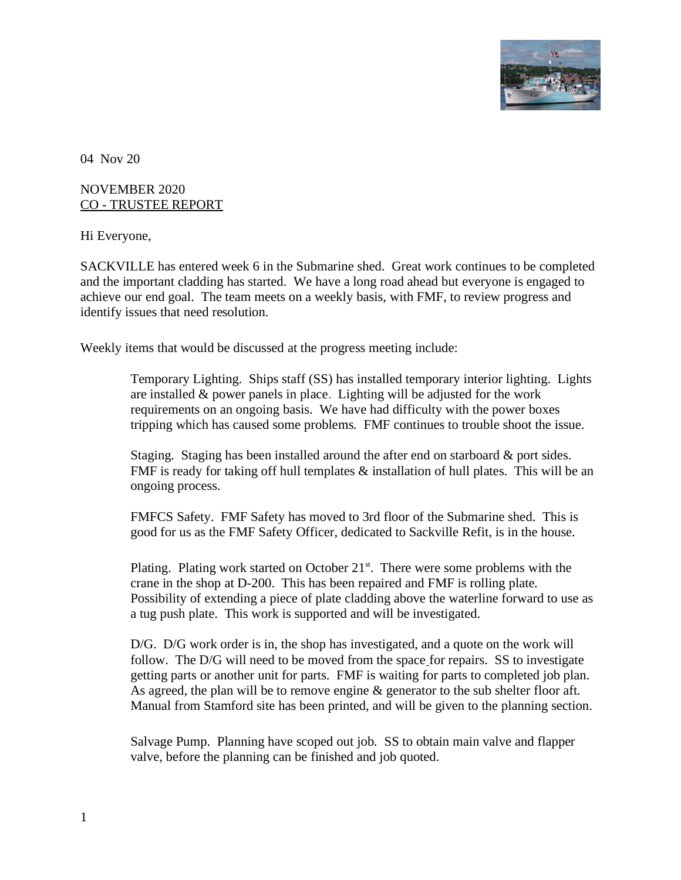

04 Nov 20

## NOVEMBER 2020 CO - TRUSTEE REPORT

Hi Everyone,

SACKVILLE has entered week 6 in the Submarine shed. Great work continues to be completed and the important cladding has started. We have a long road ahead but everyone is engaged to achieve our end goal. The team meets on a weekly basis, with FMF, to review progress and identify issues that need resolution.

Weekly items that would be discussed at the progress meeting include:

Temporary Lighting. Ships staff (SS) has installed temporary interior lighting. Lights are installed & power panels in place. Lighting will be adjusted for the work requirements on an ongoing basis. We have had difficulty with the power boxes tripping which has caused some problems. FMF continues to trouble shoot the issue.

Staging. Staging has been installed around the after end on starboard & port sides. FMF is ready for taking off hull templates & installation of hull plates. This will be an ongoing process.

FMFCS Safety. FMF Safety has moved to 3rd floor of the Submarine shed. This is good for us as the FMF Safety Officer, dedicated to Sackville Refit, is in the house.

Plating. Plating work started on October  $21<sup>st</sup>$ . There were some problems with the crane in the shop at D-200. This has been repaired and FMF is rolling plate. Possibility of extending a piece of plate cladding above the waterline forward to use as a tug push plate. This work is supported and will be investigated.

D/G. D/G work order is in, the shop has investigated, and a quote on the work will follow. The D/G will need to be moved from the space for repairs. SS to investigate getting parts or another unit for parts. FMF is waiting for parts to completed job plan. As agreed, the plan will be to remove engine & generator to the sub shelter floor aft. Manual from Stamford site has been printed, and will be given to the planning section.

Salvage Pump. Planning have scoped out job*.* SS to obtain main valve and flapper valve, before the planning can be finished and job quoted.